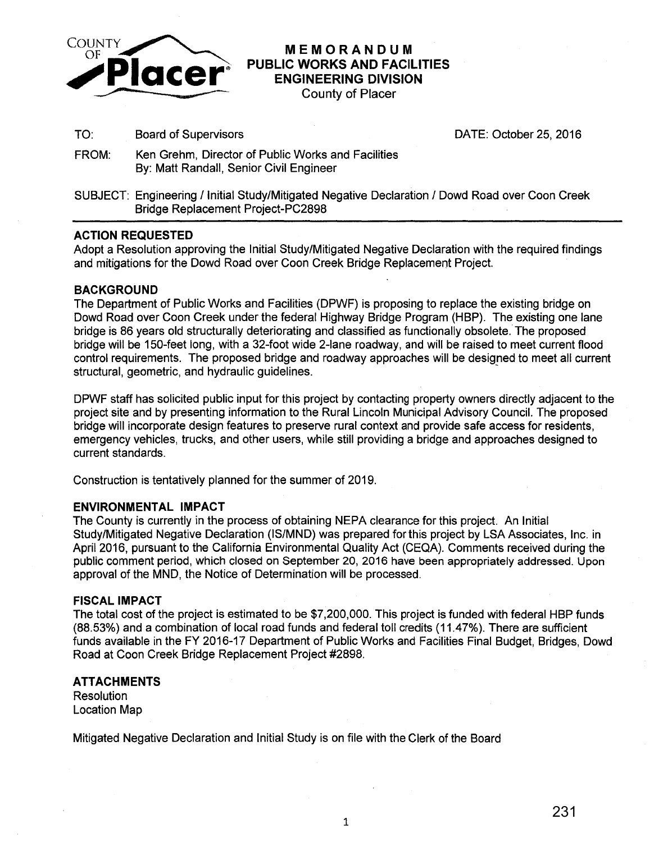

# **MEMORANDUM PUBLIC WORKS AND FACILITIES ENGINEERING DIVISION**

County of Placer

TO: Board of Supervisors DATE: October 25, 2016

- FROM: Ken Grehm, Director of Public Works and Facilities By: Matt Randall, Senior Civil Engineer
- SUBJECT: Engineering /Initial Study/Mitigated Negative Declaration I Dowd Road over Coon Creek Bridge Replacement Project-PC2898

### **ACTION REQUESTED**

Adopt a Resolution approving the Initial Study/Mitigated Negative Declaration with the required findings and mitigations for the Dowd Road over Coon Creek Bridge Replacement Project.

#### **BACKGROUND**

The Department of Public Works and Facilities (DPWF) is proposing to replace the existing bridge on Dowd Road over Coon Creek under the federal Highway Bridge Program (HBP). The existing one lane bridge is 86 years old structurally deteriorating and classified as functionally obsolete. The proposed bridge will be 150-feet long, with a 32-foot wide 2-lane roadway, and will be raised to meet current flood control requirements. The proposed bridge and roadway approaches will be designed to meet all current structural, geometric, and hydraulic guidelines.

DPWF staff has solicited public input for this project by contacting property owners directly adjacent to the project site and by presenting information to the Rural Lincoln Municipal Advisory Council. The proposed bridge will incorporate design features to preserve rural context and provide safe access for residents, emergency vehicles, trucks, and other users, while still providing a bridge and approaches designed to current standards.

Construction is tentatively planned for the summer of 2019.

#### EN~RONMENTAL **IMPACT**

The County is currently in the process of obtaining NEPA clearance for this project. An Initial Study/Mitigated Negative Declaration (IS/MND) was prepared for this project by LSA Associates, Inc. in April 2016, pursuant to the California Environmental Quality Act (CEQA). Comments received during the public comment period, which closed on September 20, 2016 have been appropriately addressed. Upon approval of the MND, the Notice of Determination will be processed.

#### **FISCAL IMPACT**

The total cost of the project is estimated to be \$7,200,000. This project is funded with federal HBP funds (88.53%) and a combination of local road funds and federal toll credits (11.47%). There are sufficient funds available in the FY 2016-17 Department of Public Works and Facilities Final Budget, Bridges, Dowd Road at Coon Creek Bridge Replacement Project #2898.

#### **ATTACHMENTS**

Resolution Location Map

Mitigated Negative Declaration and Initial Study is on file with the Clerk of the Board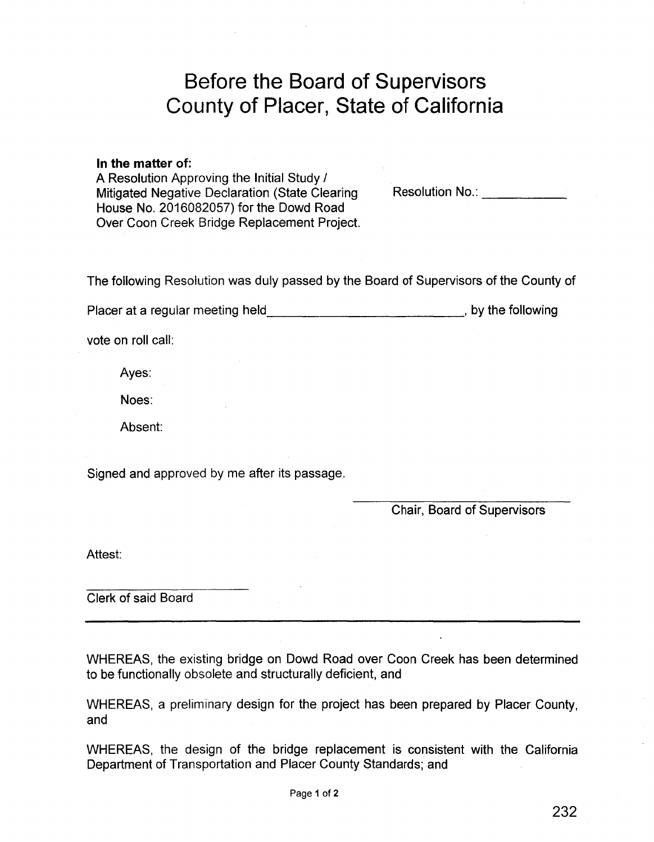# **Before the Board of Supervisors County of Placer, State of California**

# **In the matter** of:

A Resolution Approving the Initial Study / Mitigated Negative Declaration (State Clearing House No. 2016082057) for the Dowd Road Over Coon Creek Bridge Replacement Project.

Resolution No.: **We are also also have a little set of the set of the set of the set of the set of the set of the set of the set of the set of the set of the set of the set of the set of the set of the set of the set of th** 

The following Resolution was duly passed by the Board of Supervisors of the County of

Placer at a regular meeting held \_\_\_\_\_\_\_\_\_\_\_\_\_\_\_\_\_\_\_\_\_\_\_\_\_\_\_\_\_\_\_\_\_\_, by the following

vote on roll call:

Ayes:

Noes:

Absent:

Signed and approved by me after its passage.

Chair, Board of Supervisors

Attest:

Clerk of said Board

WHEREAS, the existing bridge on Dowd Road over Coon Creek has been determined to be functionally obsolete and structurally deficient, and

WHEREAS, a preliminary design for the project has been prepared by Placer County, and

WHEREAS, the design of the bridge replacement is consistent with the California Department of Transportation and Placer County Standards; and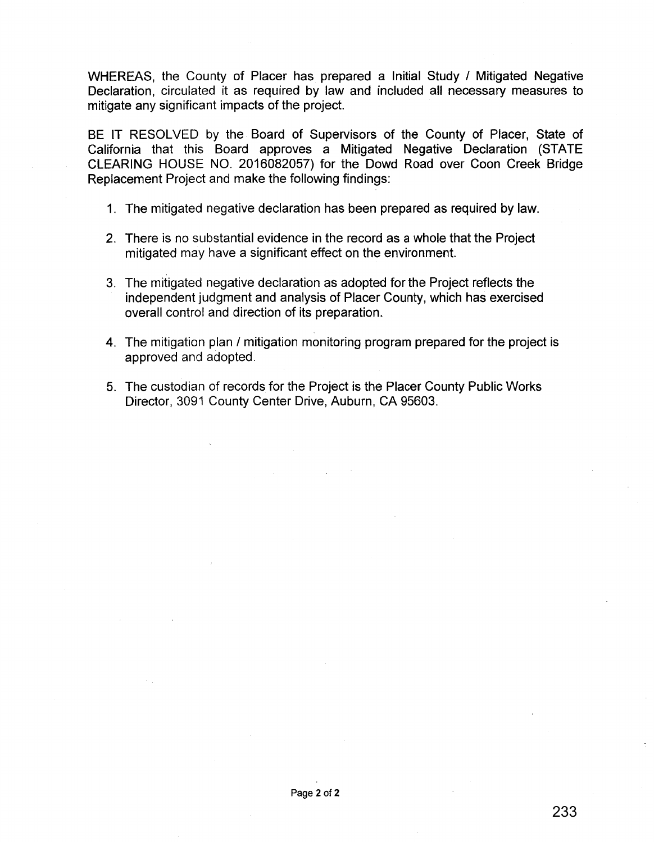WHEREAS, the County of Placer has prepared a Initial Study / Mitigated Negative Declaration, circulated it as required by law and included all necessary measures to mitigate any significant impacts of the project.

BE IT RESOLVED by the Board of Supervisors of the County of Placer, State of California that this Board approves a Mitigated Negative Declaration (STATE CLEARING HOUSE NO. 2016082057) for the Dowd Road over Coon Creek Bridge Replacement Project and make the following findings:

- 1. The mitigated negative declaration has been prepared as required by law.
- 2. There is no substantial evidence in the record as a whole that the Project mitigated may have a significant effect on the environment.
- 3. The mitigated negative declaration as adopted for the Project reflects the independent judgment and analysis of Placer County, which has exercised overall control and direction of its preparation.
- 4. The mitigation plan / mitigation monitoring program prepared for the project is approved and adopted.
- 5. The custodian of records for the Project is the Placer County Public Works Director, 3091 County Center Drive, Auburn, CA 95603.